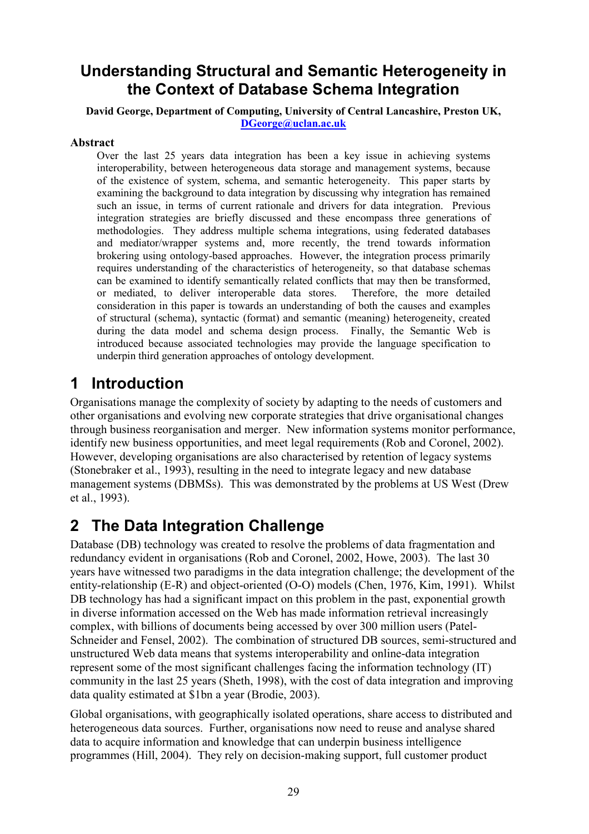### Understanding Structural and Semantic Heterogeneity in the Context of Database Schema Integration

#### David George, Department of Computing, University of Central Lancashire, Preston UK, DGeorge@uclan.ac.uk

#### Abstract

Over the last 25 years data integration has been a key issue in achieving systems interoperability, between heterogeneous data storage and management systems, because of the existence of system, schema, and semantic heterogeneity. This paper starts by examining the background to data integration by discussing why integration has remained such an issue, in terms of current rationale and drivers for data integration. Previous integration strategies are briefly discussed and these encompass three generations of methodologies. They address multiple schema integrations, using federated databases and mediator/wrapper systems and, more recently, the trend towards information brokering using ontology-based approaches. However, the integration process primarily requires understanding of the characteristics of heterogeneity, so that database schemas can be examined to identify semantically related conflicts that may then be transformed, or mediated, to deliver interoperable data stores. Therefore, the more detailed consideration in this paper is towards an understanding of both the causes and examples of structural (schema), syntactic (format) and semantic (meaning) heterogeneity, created during the data model and schema design process. Finally, the Semantic Web is introduced because associated technologies may provide the language specification to underpin third generation approaches of ontology development.

## 1 Introduction

Organisations manage the complexity of society by adapting to the needs of customers and other organisations and evolving new corporate strategies that drive organisational changes through business reorganisation and merger. New information systems monitor performance, identify new business opportunities, and meet legal requirements (Rob and Coronel, 2002). However, developing organisations are also characterised by retention of legacy systems (Stonebraker et al., 1993), resulting in the need to integrate legacy and new database management systems (DBMSs). This was demonstrated by the problems at US West (Drew et al., 1993).

## 2 The Data Integration Challenge

Database (DB) technology was created to resolve the problems of data fragmentation and redundancy evident in organisations (Rob and Coronel, 2002, Howe, 2003). The last 30 years have witnessed two paradigms in the data integration challenge; the development of the entity-relationship (E-R) and object-oriented (O-O) models (Chen, 1976, Kim, 1991). Whilst DB technology has had a significant impact on this problem in the past, exponential growth in diverse information accessed on the Web has made information retrieval increasingly complex, with billions of documents being accessed by over 300 million users (Patel-Schneider and Fensel, 2002). The combination of structured DB sources, semi-structured and unstructured Web data means that systems interoperability and online-data integration represent some of the most significant challenges facing the information technology (IT) community in the last 25 years (Sheth, 1998), with the cost of data integration and improving data quality estimated at \$1bn a year (Brodie, 2003).

Global organisations, with geographically isolated operations, share access to distributed and heterogeneous data sources. Further, organisations now need to reuse and analyse shared data to acquire information and knowledge that can underpin business intelligence programmes (Hill, 2004). They rely on decision-making support, full customer product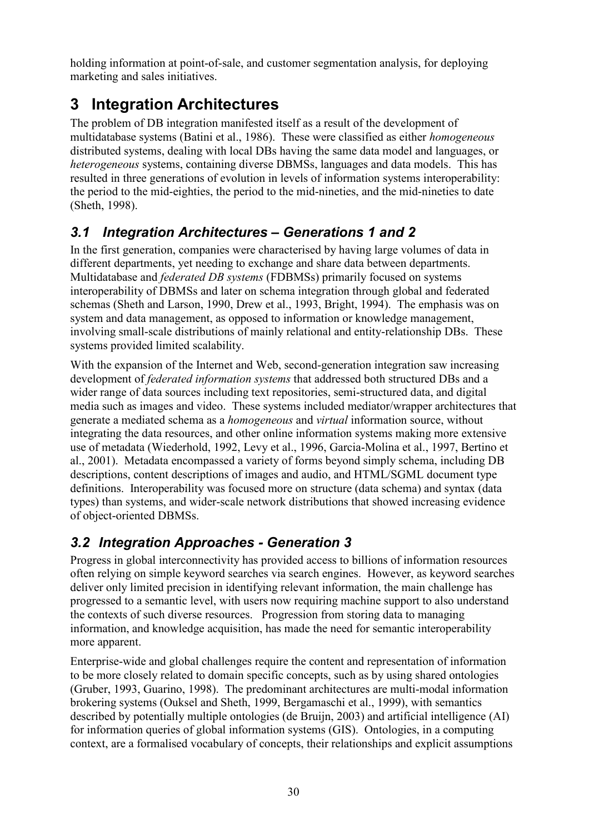holding information at point-of-sale, and customer segmentation analysis, for deploying marketing and sales initiatives.

# 3 Integration Architectures

The problem of DB integration manifested itself as a result of the development of multidatabase systems (Batini et al., 1986). These were classified as either homogeneous distributed systems, dealing with local DBs having the same data model and languages, or heterogeneous systems, containing diverse DBMSs, languages and data models. This has resulted in three generations of evolution in levels of information systems interoperability: the period to the mid-eighties, the period to the mid-nineties, and the mid-nineties to date (Sheth, 1998).

### 3.1 Integration Architectures – Generations 1 and 2

In the first generation, companies were characterised by having large volumes of data in different departments, yet needing to exchange and share data between departments. Multidatabase and federated DB systems (FDBMSs) primarily focused on systems interoperability of DBMSs and later on schema integration through global and federated schemas (Sheth and Larson, 1990, Drew et al., 1993, Bright, 1994). The emphasis was on system and data management, as opposed to information or knowledge management, involving small-scale distributions of mainly relational and entity-relationship DBs. These systems provided limited scalability.

With the expansion of the Internet and Web, second-generation integration saw increasing development of federated information systems that addressed both structured DBs and a wider range of data sources including text repositories, semi-structured data, and digital media such as images and video. These systems included mediator/wrapper architectures that generate a mediated schema as a homogeneous and virtual information source, without integrating the data resources, and other online information systems making more extensive use of metadata (Wiederhold, 1992, Levy et al., 1996, Garcia-Molina et al., 1997, Bertino et al., 2001). Metadata encompassed a variety of forms beyond simply schema, including DB descriptions, content descriptions of images and audio, and HTML/SGML document type definitions. Interoperability was focused more on structure (data schema) and syntax (data types) than systems, and wider-scale network distributions that showed increasing evidence of object-oriented DBMSs.

### 3.2 Integration Approaches - Generation 3

Progress in global interconnectivity has provided access to billions of information resources often relying on simple keyword searches via search engines. However, as keyword searches deliver only limited precision in identifying relevant information, the main challenge has progressed to a semantic level, with users now requiring machine support to also understand the contexts of such diverse resources. Progression from storing data to managing information, and knowledge acquisition, has made the need for semantic interoperability more apparent.

Enterprise-wide and global challenges require the content and representation of information to be more closely related to domain specific concepts, such as by using shared ontologies (Gruber, 1993, Guarino, 1998). The predominant architectures are multi-modal information brokering systems (Ouksel and Sheth, 1999, Bergamaschi et al., 1999), with semantics described by potentially multiple ontologies (de Bruijn, 2003) and artificial intelligence (AI) for information queries of global information systems (GIS). Ontologies, in a computing context, are a formalised vocabulary of concepts, their relationships and explicit assumptions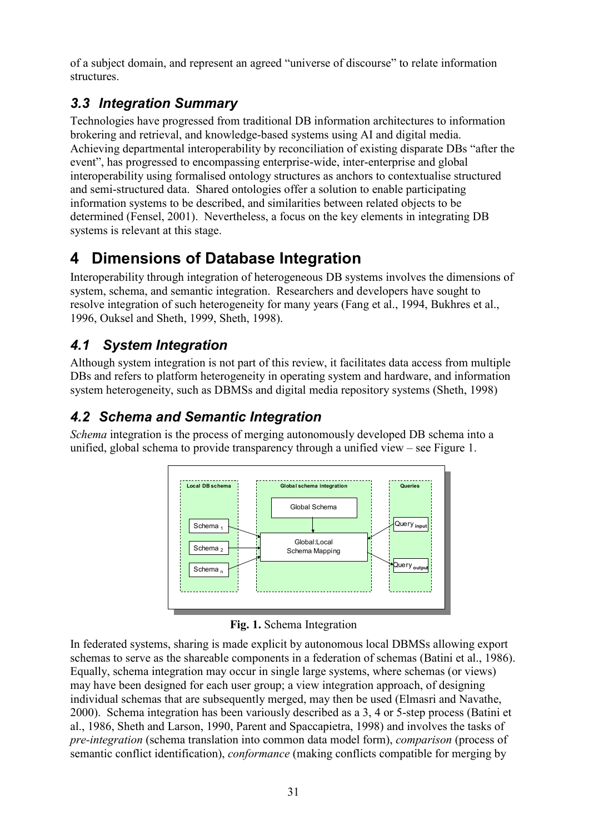of a subject domain, and represent an agreed "universe of discourse" to relate information structures.

### 3.3 Integration Summary

Technologies have progressed from traditional DB information architectures to information brokering and retrieval, and knowledge-based systems using AI and digital media. Achieving departmental interoperability by reconciliation of existing disparate DBs "after the event", has progressed to encompassing enterprise-wide, inter-enterprise and global interoperability using formalised ontology structures as anchors to contextualise structured and semi-structured data. Shared ontologies offer a solution to enable participating information systems to be described, and similarities between related objects to be determined (Fensel, 2001). Nevertheless, a focus on the key elements in integrating DB systems is relevant at this stage.

# 4 Dimensions of Database Integration

Interoperability through integration of heterogeneous DB systems involves the dimensions of system, schema, and semantic integration. Researchers and developers have sought to resolve integration of such heterogeneity for many years (Fang et al., 1994, Bukhres et al., 1996, Ouksel and Sheth, 1999, Sheth, 1998).

### 4.1 System Integration

Although system integration is not part of this review, it facilitates data access from multiple DBs and refers to platform heterogeneity in operating system and hardware, and information system heterogeneity, such as DBMSs and digital media repository systems (Sheth, 1998)

### 4.2 Schema and Semantic Integration

Schema integration is the process of merging autonomously developed DB schema into a unified, global schema to provide transparency through a unified view – see Figure 1.



Fig. 1. Schema Integration

In federated systems, sharing is made explicit by autonomous local DBMSs allowing export schemas to serve as the shareable components in a federation of schemas (Batini et al., 1986). Equally, schema integration may occur in single large systems, where schemas (or views) may have been designed for each user group; a view integration approach, of designing individual schemas that are subsequently merged, may then be used (Elmasri and Navathe, 2000). Schema integration has been variously described as a 3, 4 or 5-step process (Batini et al., 1986, Sheth and Larson, 1990, Parent and Spaccapietra, 1998) and involves the tasks of pre-integration (schema translation into common data model form), comparison (process of semantic conflict identification), conformance (making conflicts compatible for merging by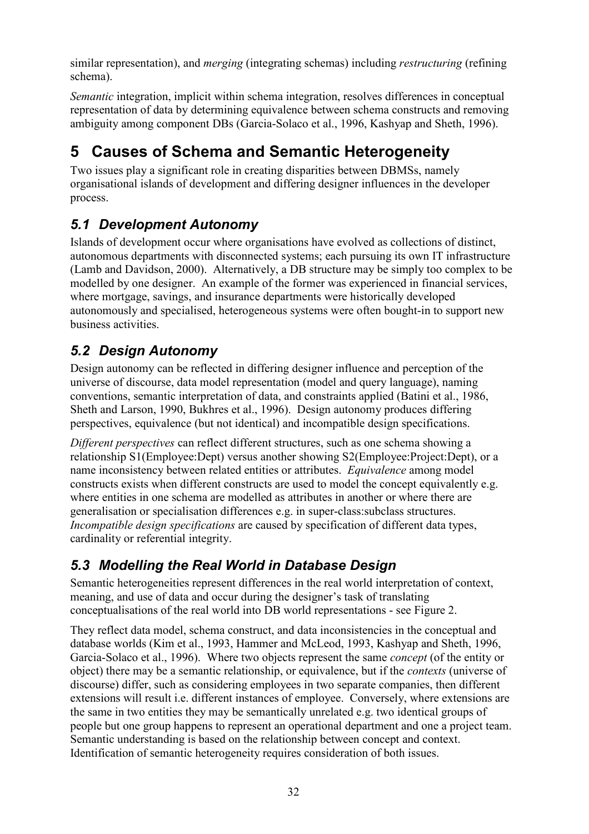similar representation), and *merging* (integrating schemas) including *restructuring* (refining schema).

Semantic integration, implicit within schema integration, resolves differences in conceptual representation of data by determining equivalence between schema constructs and removing ambiguity among component DBs (Garcia-Solaco et al., 1996, Kashyap and Sheth, 1996).

# 5 Causes of Schema and Semantic Heterogeneity

Two issues play a significant role in creating disparities between DBMSs, namely organisational islands of development and differing designer influences in the developer process.

### 5.1 Development Autonomy

Islands of development occur where organisations have evolved as collections of distinct, autonomous departments with disconnected systems; each pursuing its own IT infrastructure (Lamb and Davidson, 2000). Alternatively, a DB structure may be simply too complex to be modelled by one designer. An example of the former was experienced in financial services, where mortgage, savings, and insurance departments were historically developed autonomously and specialised, heterogeneous systems were often bought-in to support new business activities.

### 5.2 Design Autonomy

Design autonomy can be reflected in differing designer influence and perception of the universe of discourse, data model representation (model and query language), naming conventions, semantic interpretation of data, and constraints applied (Batini et al., 1986, Sheth and Larson, 1990, Bukhres et al., 1996). Design autonomy produces differing perspectives, equivalence (but not identical) and incompatible design specifications.

Different perspectives can reflect different structures, such as one schema showing a relationship S1(Employee:Dept) versus another showing S2(Employee:Project:Dept), or a name inconsistency between related entities or attributes. Equivalence among model constructs exists when different constructs are used to model the concept equivalently e.g. where entities in one schema are modelled as attributes in another or where there are generalisation or specialisation differences e.g. in super-class:subclass structures. Incompatible design specifications are caused by specification of different data types, cardinality or referential integrity.

### 5.3 Modelling the Real World in Database Design

Semantic heterogeneities represent differences in the real world interpretation of context, meaning, and use of data and occur during the designer's task of translating conceptualisations of the real world into DB world representations - see Figure 2.

They reflect data model, schema construct, and data inconsistencies in the conceptual and database worlds (Kim et al., 1993, Hammer and McLeod, 1993, Kashyap and Sheth, 1996, Garcia-Solaco et al., 1996). Where two objects represent the same concept (of the entity or object) there may be a semantic relationship, or equivalence, but if the contexts (universe of discourse) differ, such as considering employees in two separate companies, then different extensions will result i.e. different instances of employee. Conversely, where extensions are the same in two entities they may be semantically unrelated e.g. two identical groups of people but one group happens to represent an operational department and one a project team. Semantic understanding is based on the relationship between concept and context. Identification of semantic heterogeneity requires consideration of both issues.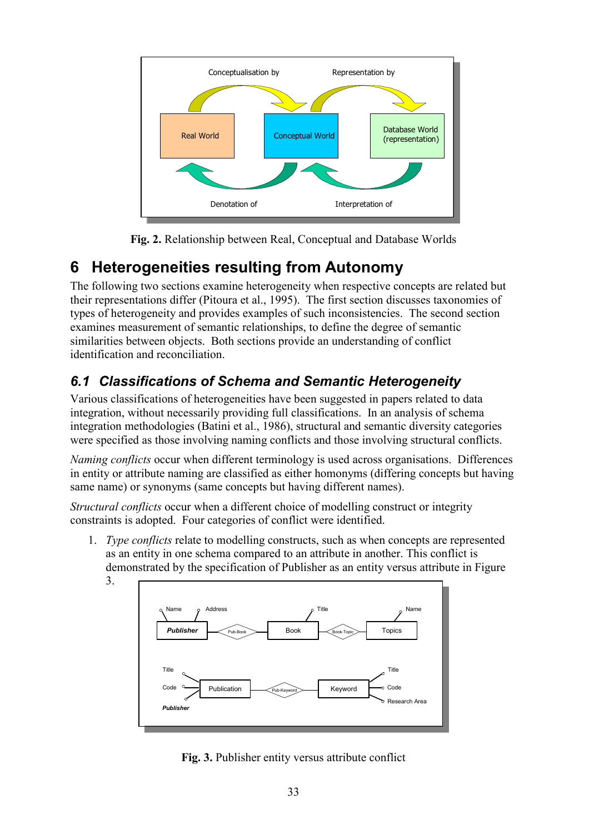

Fig. 2. Relationship between Real, Conceptual and Database Worlds

# 6 Heterogeneities resulting from Autonomy

The following two sections examine heterogeneity when respective concepts are related but their representations differ (Pitoura et al., 1995). The first section discusses taxonomies of types of heterogeneity and provides examples of such inconsistencies. The second section examines measurement of semantic relationships, to define the degree of semantic similarities between objects. Both sections provide an understanding of conflict identification and reconciliation.

# 6.1 Classifications of Schema and Semantic Heterogeneity

Various classifications of heterogeneities have been suggested in papers related to data integration, without necessarily providing full classifications. In an analysis of schema integration methodologies (Batini et al., 1986), structural and semantic diversity categories were specified as those involving naming conflicts and those involving structural conflicts.

Naming conflicts occur when different terminology is used across organisations. Differences in entity or attribute naming are classified as either homonyms (differing concepts but having same name) or synonyms (same concepts but having different names).

Structural conflicts occur when a different choice of modelling construct or integrity constraints is adopted. Four categories of conflict were identified.

1. Type conflicts relate to modelling constructs, such as when concepts are represented as an entity in one schema compared to an attribute in another. This conflict is demonstrated by the specification of Publisher as an entity versus attribute in Figure 3.



Fig. 3. Publisher entity versus attribute conflict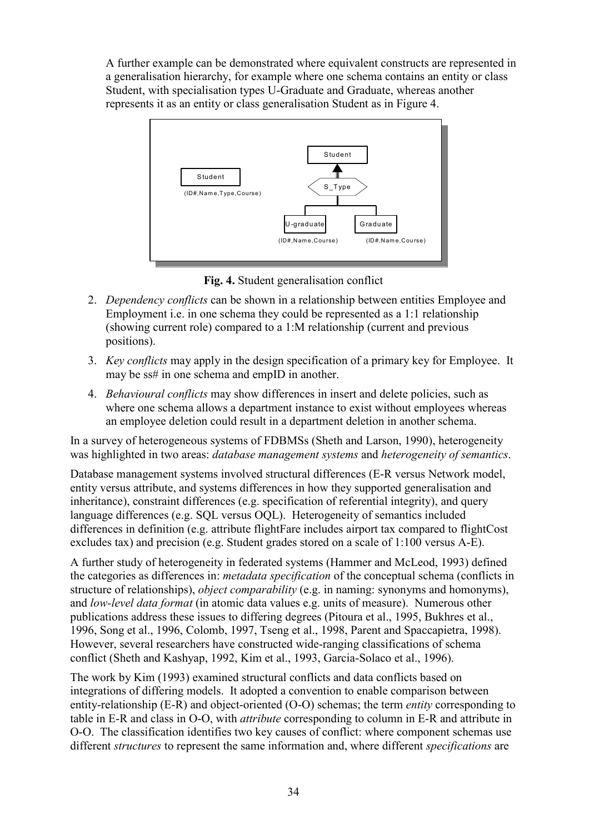A further example can be demonstrated where equivalent constructs are represented in a generalisation hierarchy, for example where one schema contains an entity or class Student, with specialisation types U-Graduate and Graduate, whereas another represents it as an entity or class generalisation Student as in Figure 4.



Fig. 4. Student generalisation conflict

- 2. Dependency conflicts can be shown in a relationship between entities Employee and Employment i.e. in one schema they could be represented as a 1:1 relationship (showing current role) compared to a 1:M relationship (current and previous positions).
- 3. Key conflicts may apply in the design specification of a primary key for Employee. It may be ss# in one schema and empID in another.
- 4. Behavioural conflicts may show differences in insert and delete policies, such as where one schema allows a department instance to exist without employees whereas an employee deletion could result in a department deletion in another schema.

In a survey of heterogeneous systems of FDBMSs (Sheth and Larson, 1990), heterogeneity was highlighted in two areas: database management systems and heterogeneity of semantics.

Database management systems involved structural differences (E-R versus Network model, entity versus attribute, and systems differences in how they supported generalisation and inheritance), constraint differences (e.g. specification of referential integrity), and query language differences (e.g. SQL versus OQL). Heterogeneity of semantics included differences in definition (e.g. attribute flightFare includes airport tax compared to flightCost excludes tax) and precision (e.g. Student grades stored on a scale of 1:100 versus A-E).

A further study of heterogeneity in federated systems (Hammer and McLeod, 1993) defined the categories as differences in: metadata specification of the conceptual schema (conflicts in structure of relationships), *object comparability* (e.g. in naming: synonyms and homonyms), and low-level data format (in atomic data values e.g. units of measure). Numerous other publications address these issues to differing degrees (Pitoura et al., 1995, Bukhres et al., 1996, Song et al., 1996, Colomb, 1997, Tseng et al., 1998, Parent and Spaccapietra, 1998). However, several researchers have constructed wide-ranging classifications of schema conflict (Sheth and Kashyap, 1992, Kim et al., 1993, Garcia-Solaco et al., 1996).

The work by Kim (1993) examined structural conflicts and data conflicts based on integrations of differing models. It adopted a convention to enable comparison between entity-relationship (E-R) and object-oriented (O-O) schemas; the term *entity* corresponding to table in E-R and class in O-O, with attribute corresponding to column in E-R and attribute in O-O. The classification identifies two key causes of conflict: where component schemas use different *structures* to represent the same information and, where different *specifications* are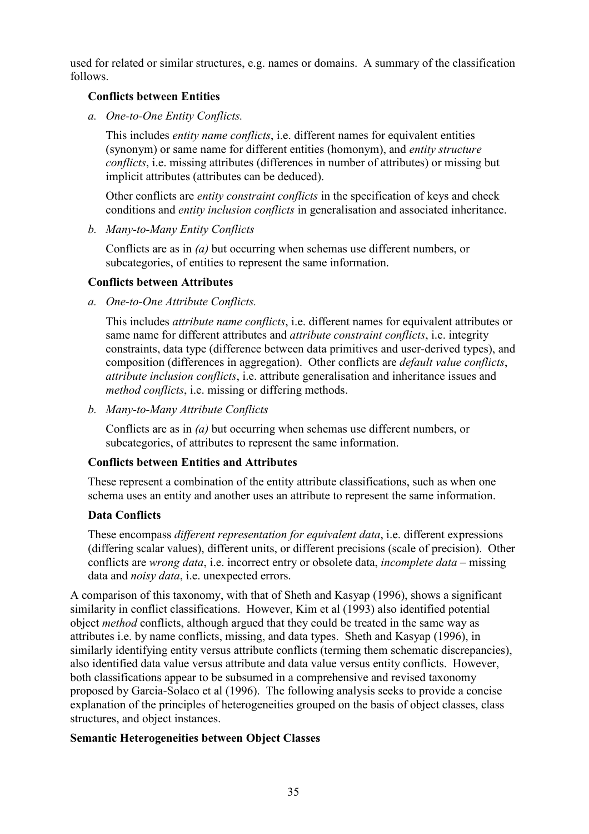used for related or similar structures, e.g. names or domains. A summary of the classification follows.

#### Conflicts between Entities

a. One-to-One Entity Conflicts.

This includes *entity name conflicts*, *i.e.* different names for equivalent entities (synonym) or same name for different entities (homonym), and entity structure conflicts, i.e. missing attributes (differences in number of attributes) or missing but implicit attributes (attributes can be deduced).

Other conflicts are *entity constraint conflicts* in the specification of keys and check conditions and *entity inclusion conflicts* in generalisation and associated inheritance.

b. Many-to-Many Entity Conflicts

Conflicts are as in (a) but occurring when schemas use different numbers, or subcategories, of entities to represent the same information.

#### Conflicts between Attributes

a. One-to-One Attribute Conflicts.

This includes attribute name conflicts, i.e. different names for equivalent attributes or same name for different attributes and *attribute constraint conflicts*, *i.e.* integrity constraints, data type (difference between data primitives and user-derived types), and composition (differences in aggregation). Other conflicts are default value conflicts, attribute inclusion conflicts, i.e. attribute generalisation and inheritance issues and method conflicts, i.e. missing or differing methods.

b. Many-to-Many Attribute Conflicts

Conflicts are as in (a) but occurring when schemas use different numbers, or subcategories, of attributes to represent the same information.

#### Conflicts between Entities and Attributes

These represent a combination of the entity attribute classifications, such as when one schema uses an entity and another uses an attribute to represent the same information.

#### Data Conflicts

These encompass *different representation for equivalent data*, *i.e.* different expressions (differing scalar values), different units, or different precisions (scale of precision). Other conflicts are wrong data, i.e. incorrect entry or obsolete data, incomplete data – missing data and *noisy data*, *i.e.* unexpected errors.

A comparison of this taxonomy, with that of Sheth and Kasyap (1996), shows a significant similarity in conflict classifications. However, Kim et al (1993) also identified potential object method conflicts, although argued that they could be treated in the same way as attributes i.e. by name conflicts, missing, and data types. Sheth and Kasyap (1996), in similarly identifying entity versus attribute conflicts (terming them schematic discrepancies), also identified data value versus attribute and data value versus entity conflicts. However, both classifications appear to be subsumed in a comprehensive and revised taxonomy proposed by Garcia-Solaco et al (1996). The following analysis seeks to provide a concise explanation of the principles of heterogeneities grouped on the basis of object classes, class structures, and object instances.

#### Semantic Heterogeneities between Object Classes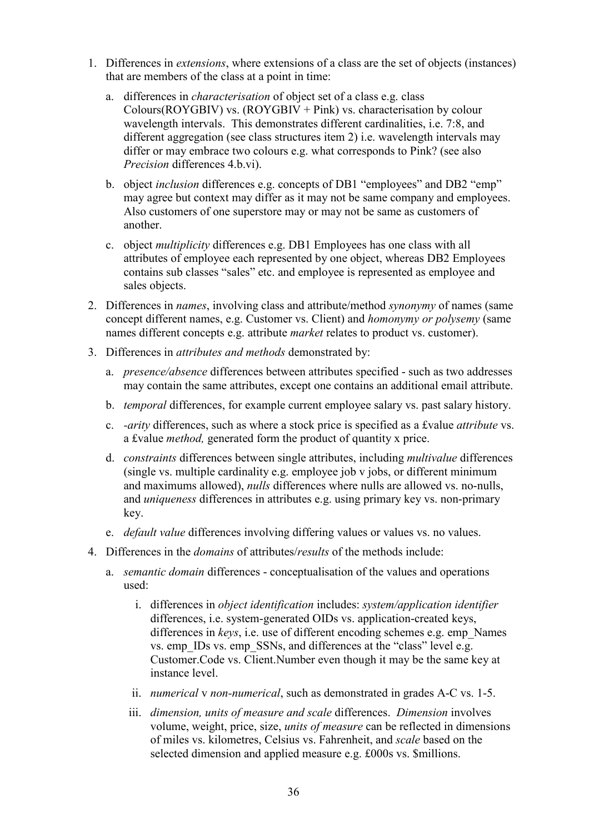- 1. Differences in extensions, where extensions of a class are the set of objects (instances) that are members of the class at a point in time:
	- a. differences in characterisation of object set of a class e.g. class Colours(ROYGBIV) vs. (ROYGBIV + Pink) vs. characterisation by colour wavelength intervals. This demonstrates different cardinalities, i.e. 7:8, and different aggregation (see class structures item 2) i.e. wavelength intervals may differ or may embrace two colours e.g. what corresponds to Pink? (see also Precision differences 4.b.vi).
	- b. object inclusion differences e.g. concepts of DB1 "employees" and DB2 "emp" may agree but context may differ as it may not be same company and employees. Also customers of one superstore may or may not be same as customers of another.
	- c. object multiplicity differences e.g. DB1 Employees has one class with all attributes of employee each represented by one object, whereas DB2 Employees contains sub classes "sales" etc. and employee is represented as employee and sales objects.
- 2. Differences in *names*, involving class and attribute/method *synonymy* of names (same concept different names, e.g. Customer vs. Client) and homonymy or polysemy (same names different concepts e.g. attribute *market* relates to product vs. customer).
- 3. Differences in attributes and methods demonstrated by:
	- a. presence/absence differences between attributes specified such as two addresses may contain the same attributes, except one contains an additional email attribute.
	- b. temporal differences, for example current employee salary vs. past salary history.
	- c. -arity differences, such as where a stock price is specified as a £value attribute vs. a £value method, generated form the product of quantity x price.
	- d. constraints differences between single attributes, including multivalue differences (single vs. multiple cardinality e.g. employee job v jobs, or different minimum and maximums allowed), nulls differences where nulls are allowed vs. no-nulls, and uniqueness differences in attributes e.g. using primary key vs. non-primary key.
	- e. *default value* differences involving differing values or values vs. no values.
- 4. Differences in the *domains* of attributes/*results* of the methods include:
	- a. semantic domain differences conceptualisation of the values and operations used:
		- i. differences in object identification includes: system/application identifier differences, i.e. system-generated OIDs vs. application-created keys, differences in keys, i.e. use of different encoding schemes e.g. emp. Names vs. emp\_IDs vs. emp\_SSNs, and differences at the "class" level e.g. Customer.Code vs. Client.Number even though it may be the same key at instance level.
		- ii. numerical v non-numerical, such as demonstrated in grades A-C vs. 1-5.
		- iii. dimension, units of measure and scale differences. Dimension involves volume, weight, price, size, units of measure can be reflected in dimensions of miles vs. kilometres, Celsius vs. Fahrenheit, and scale based on the selected dimension and applied measure e.g. £000s vs. \$millions.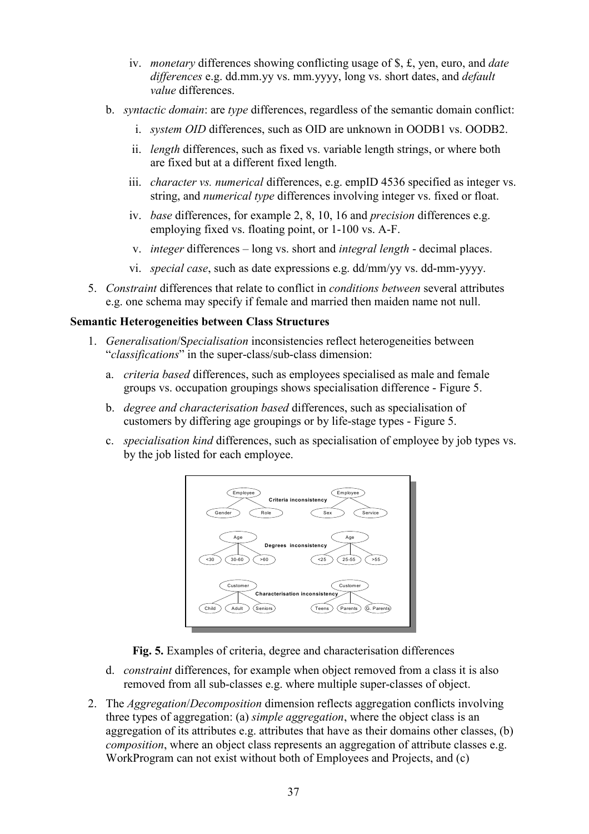- iv. monetary differences showing conflicting usage of \$, £, yen, euro, and date differences e.g. dd.mm.yy vs. mm.yyyy, long vs. short dates, and *default* value differences.
- b. *syntactic domain:* are type differences, regardless of the semantic domain conflict:
	- i. system OID differences, such as OID are unknown in OODB1 vs. OODB2.
	- ii. length differences, such as fixed vs. variable length strings, or where both are fixed but at a different fixed length.
	- iii. character vs. numerical differences, e.g. empID 4536 specified as integer vs. string, and numerical type differences involving integer vs. fixed or float.
	- iv. base differences, for example 2, 8, 10, 16 and precision differences e.g. employing fixed vs. floating point, or 1-100 vs. A-F.
	- v. integer differences long vs. short and integral length decimal places.
	- vi. special case, such as date expressions e.g. dd/mm/yy vs. dd-mm-yyyy.
- 5. Constraint differences that relate to conflict in conditions between several attributes e.g. one schema may specify if female and married then maiden name not null.

#### Semantic Heterogeneities between Class Structures

- 1. Generalisation/Specialisation inconsistencies reflect heterogeneities between "classifications" in the super-class/sub-class dimension:
	- a. criteria based differences, such as employees specialised as male and female groups vs. occupation groupings shows specialisation difference - Figure 5.
	- b. degree and characterisation based differences, such as specialisation of customers by differing age groupings or by life-stage types - Figure 5.
	- c. specialisation kind differences, such as specialisation of employee by job types vs. by the job listed for each employee.



Fig. 5. Examples of criteria, degree and characterisation differences

- d. constraint differences, for example when object removed from a class it is also removed from all sub-classes e.g. where multiple super-classes of object.
- 2. The Aggregation/Decomposition dimension reflects aggregation conflicts involving three types of aggregation: (a) *simple aggregation*, where the object class is an aggregation of its attributes e.g. attributes that have as their domains other classes, (b) composition, where an object class represents an aggregation of attribute classes e.g. WorkProgram can not exist without both of Employees and Projects, and (c)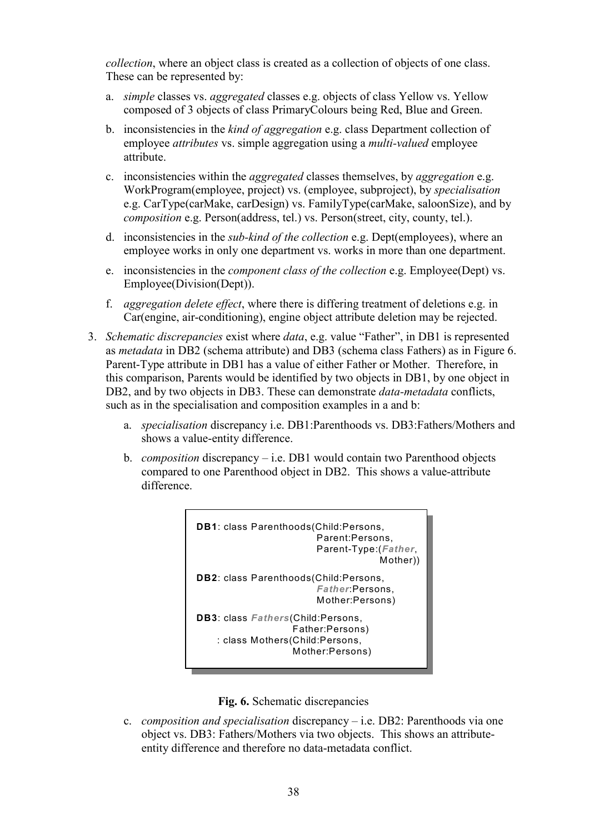collection, where an object class is created as a collection of objects of one class. These can be represented by:

- a. simple classes vs. aggregated classes e.g. objects of class Yellow vs. Yellow composed of 3 objects of class PrimaryColours being Red, Blue and Green.
- b. inconsistencies in the *kind of aggregation* e.g. class Department collection of employee *attributes* vs. simple aggregation using a *multi-valued* employee attribute.
- c. inconsistencies within the aggregated classes themselves, by aggregation e.g. WorkProgram(employee, project) vs. (employee, subproject), by specialisation e.g. CarType(carMake, carDesign) vs. FamilyType(carMake, saloonSize), and by composition e.g. Person(address, tel.) vs. Person(street, city, county, tel.).
- d. inconsistencies in the sub-kind of the collection e.g. Dept(employees), where an employee works in only one department vs. works in more than one department.
- e. inconsistencies in the component class of the collection e.g. Employee(Dept) vs. Employee(Division(Dept)).
- f. aggregation delete effect, where there is differing treatment of deletions e.g. in Car(engine, air-conditioning), engine object attribute deletion may be rejected.
- 3. Schematic discrepancies exist where data, e.g. value "Father", in DB1 is represented as metadata in DB2 (schema attribute) and DB3 (schema class Fathers) as in Figure 6. Parent-Type attribute in DB1 has a value of either Father or Mother. Therefore, in this comparison, Parents would be identified by two objects in DB1, by one object in DB2, and by two objects in DB3. These can demonstrate *data-metadata* conflicts, such as in the specialisation and composition examples in a and b:
	- a. specialisation discrepancy i.e. DB1:Parenthoods vs. DB3:Fathers/Mothers and shows a value-entity difference.
	- b. *composition* discrepancy i.e. DB1 would contain two Parenthood objects compared to one Parenthood object in DB2. This shows a value-attribute difference.





c. *composition and specialisation* discrepancy  $-$  *i.e.* DB2: Parenthoods via one object vs. DB3: Fathers/Mothers via two objects. This shows an attributeentity difference and therefore no data-metadata conflict.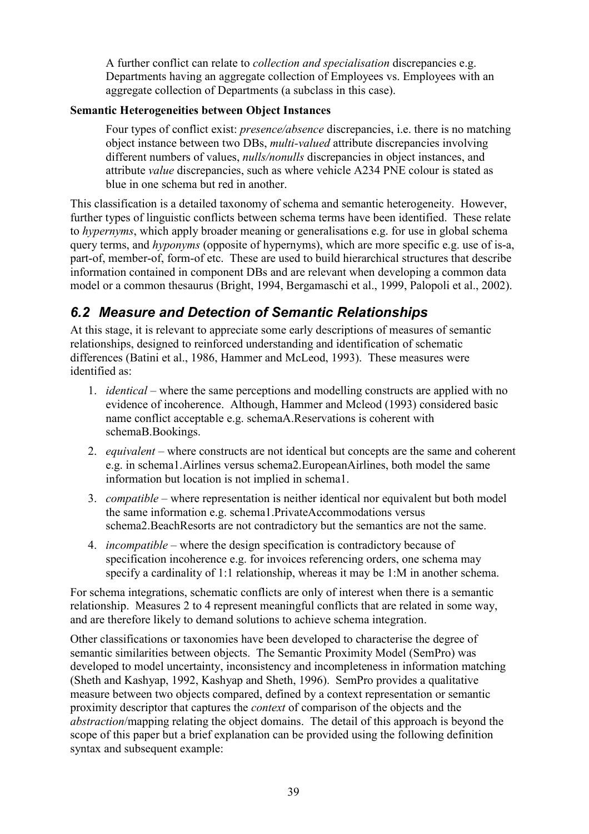A further conflict can relate to *collection and specialisation* discrepancies e.g. Departments having an aggregate collection of Employees vs. Employees with an aggregate collection of Departments (a subclass in this case).

#### Semantic Heterogeneities between Object Instances

Four types of conflict exist: *presence/absence* discrepancies, *i.e.* there is no matching object instance between two DBs, multi-valued attribute discrepancies involving different numbers of values, *nulls/nonulls* discrepancies in object instances, and attribute value discrepancies, such as where vehicle A234 PNE colour is stated as blue in one schema but red in another.

This classification is a detailed taxonomy of schema and semantic heterogeneity. However, further types of linguistic conflicts between schema terms have been identified. These relate to hypernyms, which apply broader meaning or generalisations e.g. for use in global schema query terms, and *hyponyms* (opposite of hypernyms), which are more specific e.g. use of is-a, part-of, member-of, form-of etc. These are used to build hierarchical structures that describe information contained in component DBs and are relevant when developing a common data model or a common thesaurus (Bright, 1994, Bergamaschi et al., 1999, Palopoli et al., 2002).

### 6.2 Measure and Detection of Semantic Relationships

At this stage, it is relevant to appreciate some early descriptions of measures of semantic relationships, designed to reinforced understanding and identification of schematic differences (Batini et al., 1986, Hammer and McLeod, 1993). These measures were identified as:

- 1. identical where the same perceptions and modelling constructs are applied with no evidence of incoherence. Although, Hammer and Mcleod (1993) considered basic name conflict acceptable e.g. schemaA.Reservations is coherent with schemaB.Bookings.
- 2. *equivalent* where constructs are not identical but concepts are the same and coherent e.g. in schema1.Airlines versus schema2.EuropeanAirlines, both model the same information but location is not implied in schema1.
- 3. compatible where representation is neither identical nor equivalent but both model the same information e.g. schema1.PrivateAccommodations versus schema2.BeachResorts are not contradictory but the semantics are not the same.
- 4. incompatible where the design specification is contradictory because of specification incoherence e.g. for invoices referencing orders, one schema may specify a cardinality of 1:1 relationship, whereas it may be 1:M in another schema.

For schema integrations, schematic conflicts are only of interest when there is a semantic relationship. Measures 2 to 4 represent meaningful conflicts that are related in some way, and are therefore likely to demand solutions to achieve schema integration.

Other classifications or taxonomies have been developed to characterise the degree of semantic similarities between objects. The Semantic Proximity Model (SemPro) was developed to model uncertainty, inconsistency and incompleteness in information matching (Sheth and Kashyap, 1992, Kashyap and Sheth, 1996). SemPro provides a qualitative measure between two objects compared, defined by a context representation or semantic proximity descriptor that captures the context of comparison of the objects and the abstraction/mapping relating the object domains. The detail of this approach is beyond the scope of this paper but a brief explanation can be provided using the following definition syntax and subsequent example: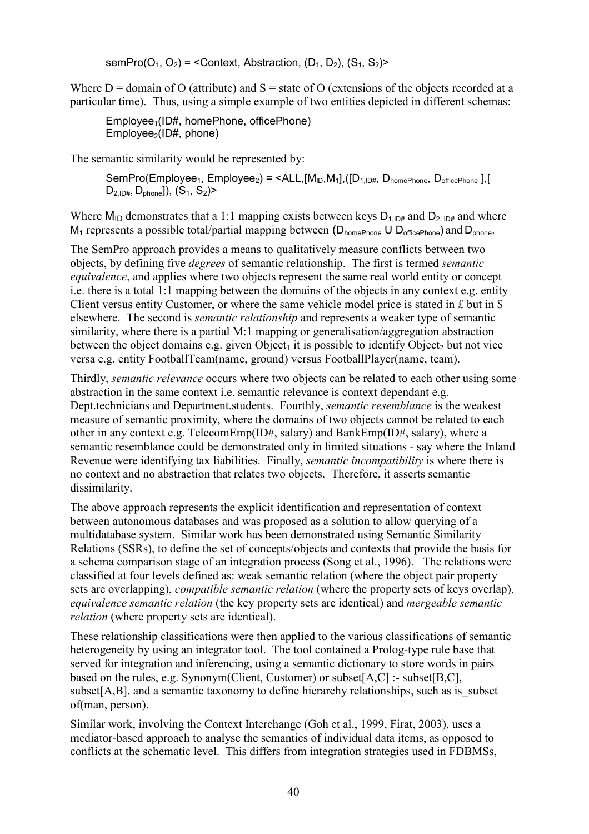semPro( $O_1$ ,  $O_2$ ) = <Context, Abstraction,  $(D_1, D_2)$ ,  $(S_1, S_2)$ >

Where  $D =$  domain of O (attribute) and  $S =$  state of O (extensions of the objects recorded at a particular time). Thus, using a simple example of two entities depicted in different schemas:

Employee<sub>1</sub>(ID#, homePhone, officePhone)  $Employee<sub>2</sub>(ID#, phone)$ 

The semantic similarity would be represented by:

SemPro(Employee<sub>1</sub>, Employee<sub>2</sub>) = <ALL,[M<sub>ID</sub>,M<sub>1</sub>],([D<sub>1,ID#</sub>, D<sub>homePhone</sub>, D<sub>officePhone</sub> ],[  $D_{2, IDH}$ ,  $D_{\text{phone}}$ ]),  $(S_1, S_2)$ >

Where M<sub>ID</sub> demonstrates that a 1:1 mapping exists between keys  $D_{1,\text{ID#}}$  and  $D_{2,\text{ID#}}$  and where  $M_1$  represents a possible total/partial mapping between ( $D_{homePhone}$   $U$   $D_{officePhone}$ ) and  $D_{phone}$ .

The SemPro approach provides a means to qualitatively measure conflicts between two objects, by defining five degrees of semantic relationship. The first is termed semantic equivalence, and applies where two objects represent the same real world entity or concept i.e. there is a total 1:1 mapping between the domains of the objects in any context e.g. entity Client versus entity Customer, or where the same vehicle model price is stated in £ but in \$ elsewhere. The second is semantic relationship and represents a weaker type of semantic similarity, where there is a partial M:1 mapping or generalisation/aggregation abstraction between the object domains e.g. given  $Object_1$  it is possible to identify Object, but not vice versa e.g. entity FootballTeam(name, ground) versus FootballPlayer(name, team).

Thirdly, *semantic relevance* occurs where two objects can be related to each other using some abstraction in the same context i.e. semantic relevance is context dependant e.g. Dept.technicians and Department.students. Fourthly, semantic resemblance is the weakest measure of semantic proximity, where the domains of two objects cannot be related to each other in any context e.g. TelecomEmp(ID#, salary) and BankEmp(ID#, salary), where a semantic resemblance could be demonstrated only in limited situations - say where the Inland Revenue were identifying tax liabilities. Finally, semantic incompatibility is where there is no context and no abstraction that relates two objects. Therefore, it asserts semantic dissimilarity.

The above approach represents the explicit identification and representation of context between autonomous databases and was proposed as a solution to allow querying of a multidatabase system. Similar work has been demonstrated using Semantic Similarity Relations (SSRs), to define the set of concepts/objects and contexts that provide the basis for a schema comparison stage of an integration process (Song et al., 1996). The relations were classified at four levels defined as: weak semantic relation (where the object pair property sets are overlapping), compatible semantic relation (where the property sets of keys overlap), equivalence semantic relation (the key property sets are identical) and mergeable semantic relation (where property sets are identical).

These relationship classifications were then applied to the various classifications of semantic heterogeneity by using an integrator tool. The tool contained a Prolog-type rule base that served for integration and inferencing, using a semantic dictionary to store words in pairs based on the rules, e.g. Synonym(Client, Customer) or subset[A,C] :- subset[B,C], subset[A,B], and a semantic taxonomy to define hierarchy relationships, such as is subset of(man, person).

Similar work, involving the Context Interchange (Goh et al., 1999, Firat, 2003), uses a mediator-based approach to analyse the semantics of individual data items, as opposed to conflicts at the schematic level. This differs from integration strategies used in FDBMSs,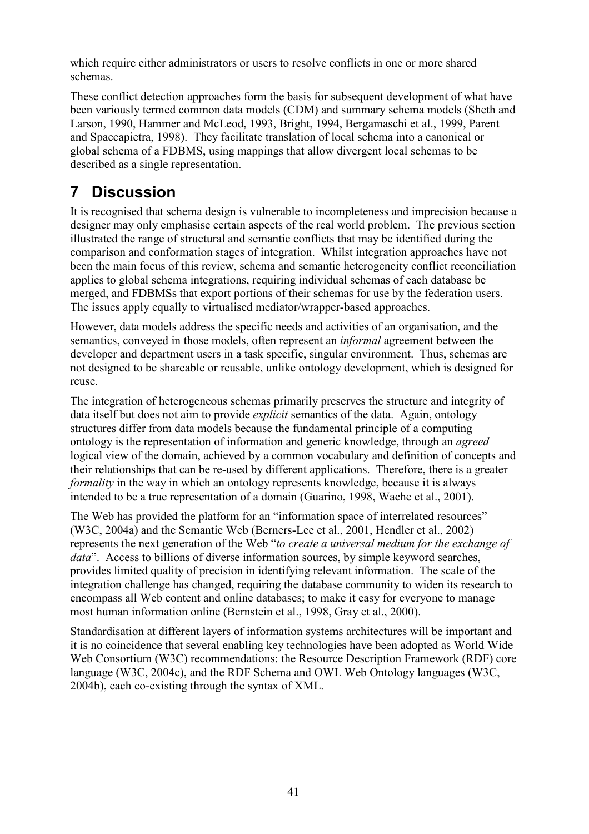which require either administrators or users to resolve conflicts in one or more shared schemas.

These conflict detection approaches form the basis for subsequent development of what have been variously termed common data models (CDM) and summary schema models (Sheth and Larson, 1990, Hammer and McLeod, 1993, Bright, 1994, Bergamaschi et al., 1999, Parent and Spaccapietra, 1998). They facilitate translation of local schema into a canonical or global schema of a FDBMS, using mappings that allow divergent local schemas to be described as a single representation.

# 7 Discussion

It is recognised that schema design is vulnerable to incompleteness and imprecision because a designer may only emphasise certain aspects of the real world problem. The previous section illustrated the range of structural and semantic conflicts that may be identified during the comparison and conformation stages of integration. Whilst integration approaches have not been the main focus of this review, schema and semantic heterogeneity conflict reconciliation applies to global schema integrations, requiring individual schemas of each database be merged, and FDBMSs that export portions of their schemas for use by the federation users. The issues apply equally to virtualised mediator/wrapper-based approaches.

However, data models address the specific needs and activities of an organisation, and the semantics, conveyed in those models, often represent an informal agreement between the developer and department users in a task specific, singular environment. Thus, schemas are not designed to be shareable or reusable, unlike ontology development, which is designed for reuse.

The integration of heterogeneous schemas primarily preserves the structure and integrity of data itself but does not aim to provide *explicit* semantics of the data. Again, ontology structures differ from data models because the fundamental principle of a computing ontology is the representation of information and generic knowledge, through an agreed logical view of the domain, achieved by a common vocabulary and definition of concepts and their relationships that can be re-used by different applications. Therefore, there is a greater formality in the way in which an ontology represents knowledge, because it is always intended to be a true representation of a domain (Guarino, 1998, Wache et al., 2001).

The Web has provided the platform for an "information space of interrelated resources" (W3C, 2004a) and the Semantic Web (Berners-Lee et al., 2001, Hendler et al., 2002) represents the next generation of the Web "to create a universal medium for the exchange of data". Access to billions of diverse information sources, by simple keyword searches, provides limited quality of precision in identifying relevant information. The scale of the integration challenge has changed, requiring the database community to widen its research to encompass all Web content and online databases; to make it easy for everyone to manage most human information online (Bernstein et al., 1998, Gray et al., 2000).

Standardisation at different layers of information systems architectures will be important and it is no coincidence that several enabling key technologies have been adopted as World Wide Web Consortium (W3C) recommendations: the Resource Description Framework (RDF) core language (W3C, 2004c), and the RDF Schema and OWL Web Ontology languages (W3C, 2004b), each co-existing through the syntax of XML.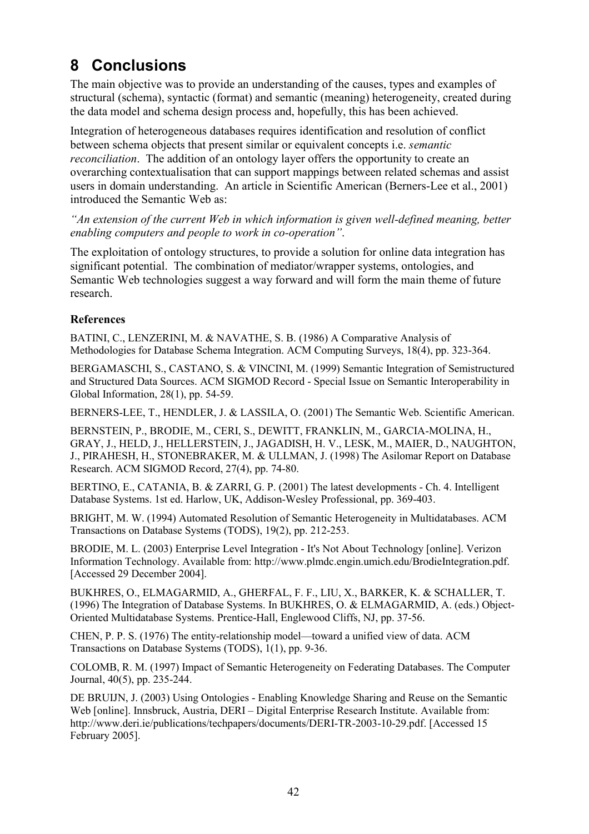# 8 Conclusions

The main objective was to provide an understanding of the causes, types and examples of structural (schema), syntactic (format) and semantic (meaning) heterogeneity, created during the data model and schema design process and, hopefully, this has been achieved.

Integration of heterogeneous databases requires identification and resolution of conflict between schema objects that present similar or equivalent concepts i.e. semantic reconciliation. The addition of an ontology layer offers the opportunity to create an overarching contextualisation that can support mappings between related schemas and assist users in domain understanding. An article in Scientific American (Berners-Lee et al., 2001) introduced the Semantic Web as:

"An extension of the current Web in which information is given well-defined meaning, better enabling computers and people to work in co-operation".

The exploitation of ontology structures, to provide a solution for online data integration has significant potential. The combination of mediator/wrapper systems, ontologies, and Semantic Web technologies suggest a way forward and will form the main theme of future research.

#### References

BATINI, C., LENZERINI, M. & NAVATHE, S. B. (1986) A Comparative Analysis of Methodologies for Database Schema Integration. ACM Computing Surveys, 18(4), pp. 323-364.

BERGAMASCHI, S., CASTANO, S. & VINCINI, M. (1999) Semantic Integration of Semistructured and Structured Data Sources. ACM SIGMOD Record - Special Issue on Semantic Interoperability in Global Information, 28(1), pp. 54-59.

BERNERS-LEE, T., HENDLER, J. & LASSILA, O. (2001) The Semantic Web. Scientific American.

BERNSTEIN, P., BRODIE, M., CERI, S., DEWITT, FRANKLIN, M., GARCIA-MOLINA, H., GRAY, J., HELD, J., HELLERSTEIN, J., JAGADISH, H. V., LESK, M., MAIER, D., NAUGHTON, J., PIRAHESH, H., STONEBRAKER, M. & ULLMAN, J. (1998) The Asilomar Report on Database Research. ACM SIGMOD Record, 27(4), pp. 74-80.

BERTINO, E., CATANIA, B. & ZARRI, G. P. (2001) The latest developments - Ch. 4. Intelligent Database Systems. 1st ed. Harlow, UK, Addison-Wesley Professional, pp. 369-403.

BRIGHT, M. W. (1994) Automated Resolution of Semantic Heterogeneity in Multidatabases. ACM Transactions on Database Systems (TODS), 19(2), pp. 212-253.

BRODIE, M. L. (2003) Enterprise Level Integration - It's Not About Technology [online]. Verizon Information Technology. Available from: http://www.plmdc.engin.umich.edu/BrodieIntegration.pdf. [Accessed 29 December 2004].

BUKHRES, O., ELMAGARMID, A., GHERFAL, F. F., LIU, X., BARKER, K. & SCHALLER, T. (1996) The Integration of Database Systems. In BUKHRES, O. & ELMAGARMID, A. (eds.) Object-Oriented Multidatabase Systems. Prentice-Hall, Englewood Cliffs, NJ, pp. 37-56.

CHEN, P. P. S. (1976) The entity-relationship model—toward a unified view of data. ACM Transactions on Database Systems (TODS), 1(1), pp. 9-36.

COLOMB, R. M. (1997) Impact of Semantic Heterogeneity on Federating Databases. The Computer Journal, 40(5), pp. 235-244.

DE BRUIJN, J. (2003) Using Ontologies - Enabling Knowledge Sharing and Reuse on the Semantic Web [online]. Innsbruck, Austria, DERI – Digital Enterprise Research Institute. Available from: http://www.deri.ie/publications/techpapers/documents/DERI-TR-2003-10-29.pdf. [Accessed 15 February 2005].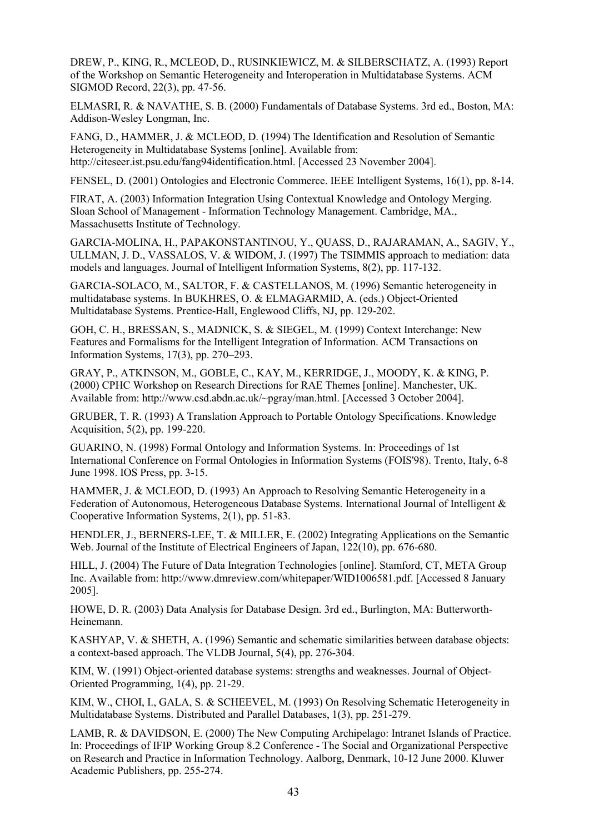DREW, P., KING, R., MCLEOD, D., RUSINKIEWICZ, M. & SILBERSCHATZ, A. (1993) Report of the Workshop on Semantic Heterogeneity and Interoperation in Multidatabase Systems. ACM SIGMOD Record, 22(3), pp. 47-56.

ELMASRI, R. & NAVATHE, S. B. (2000) Fundamentals of Database Systems. 3rd ed., Boston, MA: Addison-Wesley Longman, Inc.

FANG, D., HAMMER, J. & MCLEOD, D. (1994) The Identification and Resolution of Semantic Heterogeneity in Multidatabase Systems [online]. Available from: http://citeseer.ist.psu.edu/fang94identification.html. [Accessed 23 November 2004].

FENSEL, D. (2001) Ontologies and Electronic Commerce. IEEE Intelligent Systems, 16(1), pp. 8-14.

FIRAT, A. (2003) Information Integration Using Contextual Knowledge and Ontology Merging. Sloan School of Management - Information Technology Management. Cambridge, MA., Massachusetts Institute of Technology.

GARCIA-MOLINA, H., PAPAKONSTANTINOU, Y., QUASS, D., RAJARAMAN, A., SAGIV, Y., ULLMAN, J. D., VASSALOS, V. & WIDOM, J. (1997) The TSIMMIS approach to mediation: data models and languages. Journal of Intelligent Information Systems, 8(2), pp. 117-132.

GARCIA-SOLACO, M., SALTOR, F. & CASTELLANOS, M. (1996) Semantic heterogeneity in multidatabase systems. In BUKHRES, O. & ELMAGARMID, A. (eds.) Object-Oriented Multidatabase Systems. Prentice-Hall, Englewood Cliffs, NJ, pp. 129-202.

GOH, C. H., BRESSAN, S., MADNICK, S. & SIEGEL, M. (1999) Context Interchange: New Features and Formalisms for the Intelligent Integration of Information. ACM Transactions on Information Systems, 17(3), pp. 270–293.

GRAY, P., ATKINSON, M., GOBLE, C., KAY, M., KERRIDGE, J., MOODY, K. & KING, P. (2000) CPHC Workshop on Research Directions for RAE Themes [online]. Manchester, UK. Available from: http://www.csd.abdn.ac.uk/~pgray/man.html. [Accessed 3 October 2004].

GRUBER, T. R. (1993) A Translation Approach to Portable Ontology Specifications. Knowledge Acquisition, 5(2), pp. 199-220.

GUARINO, N. (1998) Formal Ontology and Information Systems. In: Proceedings of 1st International Conference on Formal Ontologies in Information Systems (FOIS'98). Trento, Italy, 6-8 June 1998. IOS Press, pp. 3-15.

HAMMER, J. & MCLEOD, D. (1993) An Approach to Resolving Semantic Heterogeneity in a Federation of Autonomous, Heterogeneous Database Systems. International Journal of Intelligent & Cooperative Information Systems, 2(1), pp. 51-83.

HENDLER, J., BERNERS-LEE, T. & MILLER, E. (2002) Integrating Applications on the Semantic Web. Journal of the Institute of Electrical Engineers of Japan, 122(10), pp. 676-680.

HILL, J. (2004) The Future of Data Integration Technologies [online]. Stamford, CT, META Group Inc. Available from: http://www.dmreview.com/whitepaper/WID1006581.pdf. [Accessed 8 January 2005].

HOWE, D. R. (2003) Data Analysis for Database Design. 3rd ed., Burlington, MA: Butterworth-Heinemann.

KASHYAP, V. & SHETH, A. (1996) Semantic and schematic similarities between database objects: a context-based approach. The VLDB Journal, 5(4), pp. 276-304.

KIM, W. (1991) Object-oriented database systems: strengths and weaknesses. Journal of Object-Oriented Programming, 1(4), pp. 21-29.

KIM, W., CHOI, I., GALA, S. & SCHEEVEL, M. (1993) On Resolving Schematic Heterogeneity in Multidatabase Systems. Distributed and Parallel Databases, 1(3), pp. 251-279.

LAMB, R. & DAVIDSON, E. (2000) The New Computing Archipelago: Intranet Islands of Practice. In: Proceedings of IFIP Working Group 8.2 Conference - The Social and Organizational Perspective on Research and Practice in Information Technology. Aalborg, Denmark, 10-12 June 2000. Kluwer Academic Publishers, pp. 255-274.